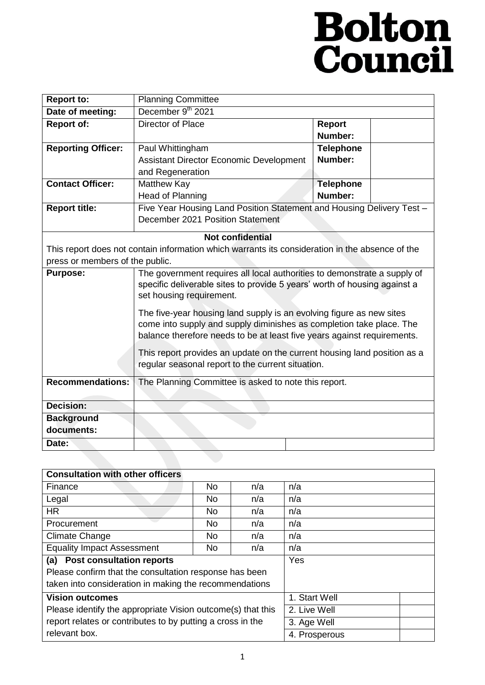# **Bolton**<br>Council

| <b>Report to:</b>                                                                               | <b>Planning Committee</b>                                                 |                  |  |  |
|-------------------------------------------------------------------------------------------------|---------------------------------------------------------------------------|------------------|--|--|
| Date of meeting:                                                                                | December 9th 2021                                                         |                  |  |  |
| <b>Report of:</b>                                                                               | Director of Place                                                         | <b>Report</b>    |  |  |
|                                                                                                 |                                                                           | Number:          |  |  |
| <b>Reporting Officer:</b>                                                                       | Paul Whittingham                                                          | <b>Telephone</b> |  |  |
|                                                                                                 | Assistant Director Economic Development                                   | Number:          |  |  |
|                                                                                                 | and Regeneration                                                          |                  |  |  |
| <b>Contact Officer:</b>                                                                         | Matthew Kay                                                               | <b>Telephone</b> |  |  |
|                                                                                                 | Head of Planning                                                          | Number:          |  |  |
| <b>Report title:</b>                                                                            | Five Year Housing Land Position Statement and Housing Delivery Test -     |                  |  |  |
|                                                                                                 | December 2021 Position Statement                                          |                  |  |  |
| <b>Not confidential</b>                                                                         |                                                                           |                  |  |  |
| This report does not contain information which warrants its consideration in the absence of the |                                                                           |                  |  |  |
| press or members of the public.                                                                 |                                                                           |                  |  |  |
| <b>Purpose:</b>                                                                                 | The government requires all local authorities to demonstrate a supply of  |                  |  |  |
|                                                                                                 | specific deliverable sites to provide 5 years' worth of housing against a |                  |  |  |
|                                                                                                 | set housing requirement.                                                  |                  |  |  |
|                                                                                                 | The five-year housing land supply is an evolving figure as new sites      |                  |  |  |
|                                                                                                 | come into supply and supply diminishes as completion take place. The      |                  |  |  |
|                                                                                                 | balance therefore needs to be at least five years against requirements.   |                  |  |  |
|                                                                                                 | This report provides an update on the current housing land position as a  |                  |  |  |
|                                                                                                 | regular seasonal report to the current situation.                         |                  |  |  |
|                                                                                                 |                                                                           |                  |  |  |
| <b>Recommendations:</b>                                                                         | The Planning Committee is asked to note this report.                      |                  |  |  |
|                                                                                                 |                                                                           |                  |  |  |
| <b>Decision:</b>                                                                                |                                                                           |                  |  |  |
| <b>Background</b>                                                                               |                                                                           |                  |  |  |
| documents:                                                                                      |                                                                           |                  |  |  |
| Date:                                                                                           |                                                                           |                  |  |  |

| <b>Consultation with other officers</b>                     |     |               |               |  |
|-------------------------------------------------------------|-----|---------------|---------------|--|
| Finance                                                     | No  | n/a           | n/a           |  |
| Legal                                                       | No. | n/a           | n/a           |  |
| <b>HR</b>                                                   | No  | n/a           | n/a           |  |
| Procurement                                                 | No. | n/a           | n/a           |  |
| <b>Climate Change</b>                                       | No. | n/a           | n/a           |  |
| <b>Equality Impact Assessment</b>                           | No  | n/a           | n/a           |  |
| <b>Post consultation reports</b><br>(a)                     |     |               | Yes           |  |
| Please confirm that the consultation response has been      |     |               |               |  |
| taken into consideration in making the recommendations      |     |               |               |  |
| <b>Vision outcomes</b>                                      |     |               | 1. Start Well |  |
| Please identify the appropriate Vision outcome(s) that this |     |               | 2. Live Well  |  |
| report relates or contributes to by putting a cross in the  |     |               | 3. Age Well   |  |
| relevant box.                                               |     | 4. Prosperous |               |  |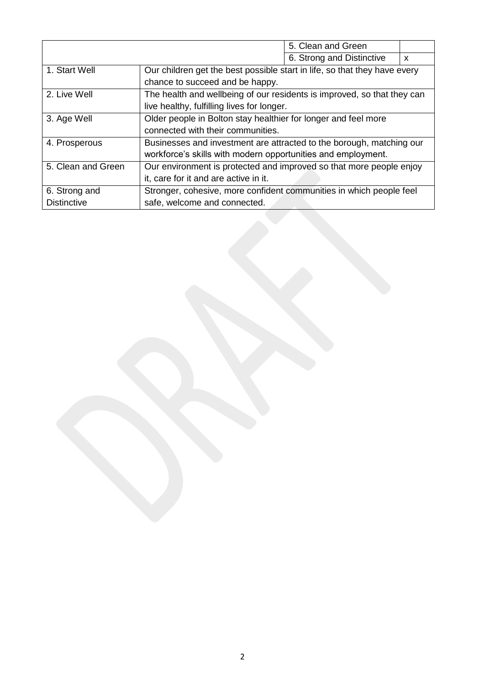|                    |                                                                           | 5. Clean and Green        |              |
|--------------------|---------------------------------------------------------------------------|---------------------------|--------------|
|                    |                                                                           | 6. Strong and Distinctive | $\mathsf{x}$ |
| 1. Start Well      | Our children get the best possible start in life, so that they have every |                           |              |
|                    | chance to succeed and be happy.                                           |                           |              |
| 2. Live Well       | The health and wellbeing of our residents is improved, so that they can   |                           |              |
|                    | live healthy, fulfilling lives for longer.                                |                           |              |
| 3. Age Well        | Older people in Bolton stay healthier for longer and feel more            |                           |              |
|                    | connected with their communities.                                         |                           |              |
| 4. Prosperous      | Businesses and investment are attracted to the borough, matching our      |                           |              |
|                    | workforce's skills with modern opportunities and employment.              |                           |              |
| 5. Clean and Green | Our environment is protected and improved so that more people enjoy       |                           |              |
|                    | it, care for it and are active in it.                                     |                           |              |
| 6. Strong and      | Stronger, cohesive, more confident communities in which people feel       |                           |              |
| <b>Distinctive</b> | safe, welcome and connected.                                              |                           |              |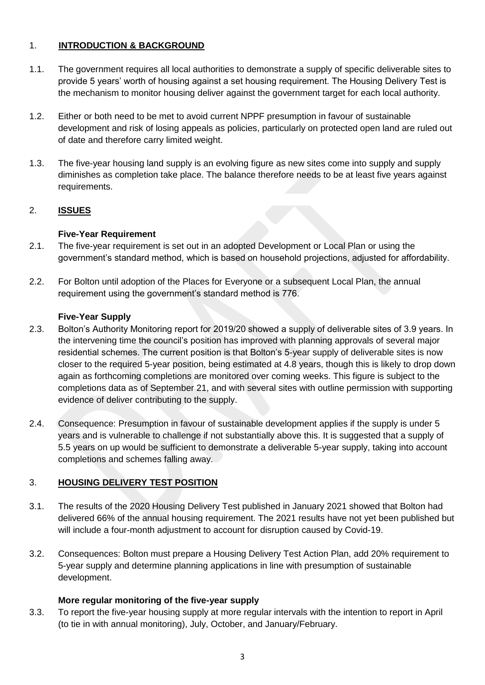# 1. **INTRODUCTION & BACKGROUND**

- 1.1. The government requires all local authorities to demonstrate a supply of specific deliverable sites to provide 5 years' worth of housing against a set housing requirement. The Housing Delivery Test is the mechanism to monitor housing deliver against the government target for each local authority.
- 1.2. Either or both need to be met to avoid current NPPF presumption in favour of sustainable development and risk of losing appeals as policies, particularly on protected open land are ruled out of date and therefore carry limited weight.
- 1.3. The five-year housing land supply is an evolving figure as new sites come into supply and supply diminishes as completion take place. The balance therefore needs to be at least five years against requirements.

# 2. **ISSUES**

# **Five-Year Requirement**

- 2.1. The five-year requirement is set out in an adopted Development or Local Plan or using the government's standard method, which is based on household projections, adjusted for affordability.
- 2.2. For Bolton until adoption of the Places for Everyone or a subsequent Local Plan, the annual requirement using the government's standard method is 776.

### **Five-Year Supply**

- 2.3. Bolton's Authority Monitoring report for 2019/20 showed a supply of deliverable sites of 3.9 years. In the intervening time the council's position has improved with planning approvals of several major residential schemes. The current position is that Bolton's 5-year supply of deliverable sites is now closer to the required 5-year position, being estimated at 4.8 years, though this is likely to drop down again as forthcoming completions are monitored over coming weeks. This figure is subject to the completions data as of September 21, and with several sites with outline permission with supporting evidence of deliver contributing to the supply.
- 2.4. Consequence: Presumption in favour of sustainable development applies if the supply is under 5 years and is vulnerable to challenge if not substantially above this. It is suggested that a supply of 5.5 years on up would be sufficient to demonstrate a deliverable 5-year supply, taking into account completions and schemes falling away.

# 3. **HOUSING DELIVERY TEST POSITION**

- 3.1. The results of the 2020 Housing Delivery Test published in January 2021 showed that Bolton had delivered 66% of the annual housing requirement. The 2021 results have not yet been published but will include a four-month adjustment to account for disruption caused by Covid-19.
- 3.2. Consequences: Bolton must prepare a Housing Delivery Test Action Plan, add 20% requirement to 5-year supply and determine planning applications in line with presumption of sustainable development.

### **More regular monitoring of the five-year supply**

3.3. To report the five-year housing supply at more regular intervals with the intention to report in April (to tie in with annual monitoring), July, October, and January/February.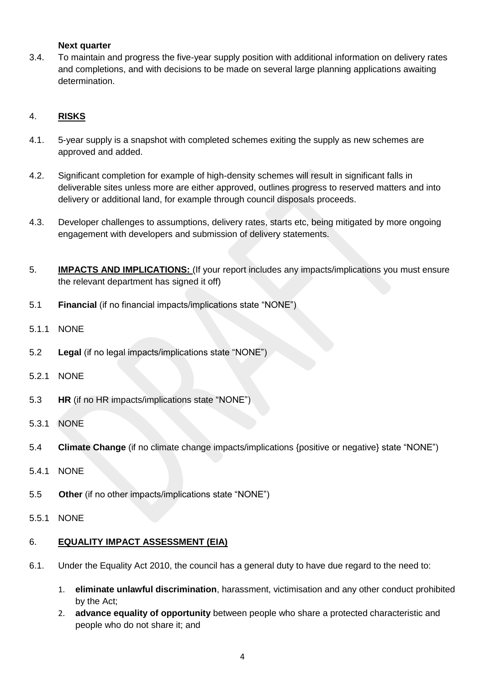#### **Next quarter**

3.4. To maintain and progress the five-year supply position with additional information on delivery rates and completions, and with decisions to be made on several large planning applications awaiting determination.

# 4. **RISKS**

- 4.1. 5-year supply is a snapshot with completed schemes exiting the supply as new schemes are approved and added.
- 4.2. Significant completion for example of high-density schemes will result in significant falls in deliverable sites unless more are either approved, outlines progress to reserved matters and into delivery or additional land, for example through council disposals proceeds.
- 4.3. Developer challenges to assumptions, delivery rates, starts etc, being mitigated by more ongoing engagement with developers and submission of delivery statements.
- 5. **IMPACTS AND IMPLICATIONS:** (If your report includes any impacts/implications you must ensure the relevant department has signed it off)
- 5.1 **Financial** (if no financial impacts/implications state "NONE")
- 5.1.1 NONE
- 5.2 **Legal** (if no legal impacts/implications state "NONE")
- 5.2.1 NONE
- 5.3 **HR** (if no HR impacts/implications state "NONE")
- 5.3.1 NONE
- 5.4 **Climate Change** (if no climate change impacts/implications {positive or negative} state "NONE")
- 5.4.1 NONE
- 5.5 **Other** (if no other impacts/implications state "NONE")
- 5.5.1 NONE

#### 6. **EQUALITY IMPACT ASSESSMENT (EIA)**

- 6.1. Under the Equality Act 2010, the council has a general duty to have due regard to the need to:
	- 1. **eliminate unlawful discrimination**, harassment, victimisation and any other conduct prohibited by the Act;
	- 2. **advance equality of opportunity** between people who share a protected characteristic and people who do not share it; and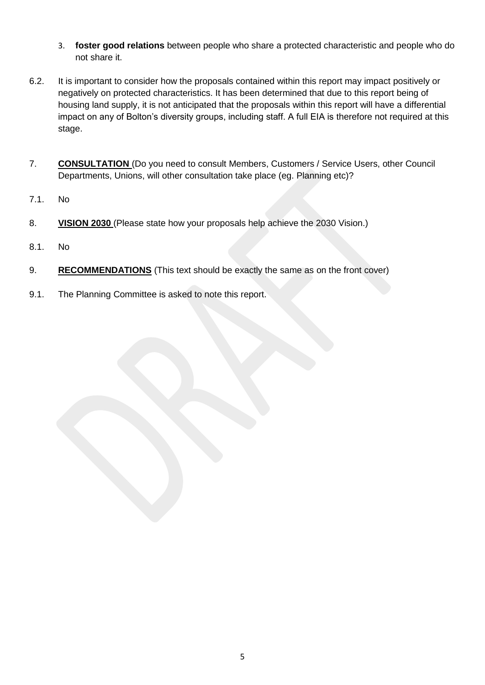- 3. **foster good relations** between people who share a protected characteristic and people who do not share it.
- 6.2. It is important to consider how the proposals contained within this report may impact positively or negatively on protected characteristics. It has been determined that due to this report being of housing land supply, it is not anticipated that the proposals within this report will have a differential impact on any of Bolton's diversity groups, including staff. A full EIA is therefore not required at this stage.
- 7. **CONSULTATION** (Do you need to consult Members, Customers / Service Users, other Council Departments, Unions, will other consultation take place (eg. Planning etc)?
- 7.1. No
- 8. **VISION 2030** (Please state how your proposals help achieve the 2030 Vision.)
- 8.1. No
- 9. **RECOMMENDATIONS** (This text should be exactly the same as on the front cover)
- 9.1. The Planning Committee is asked to note this report.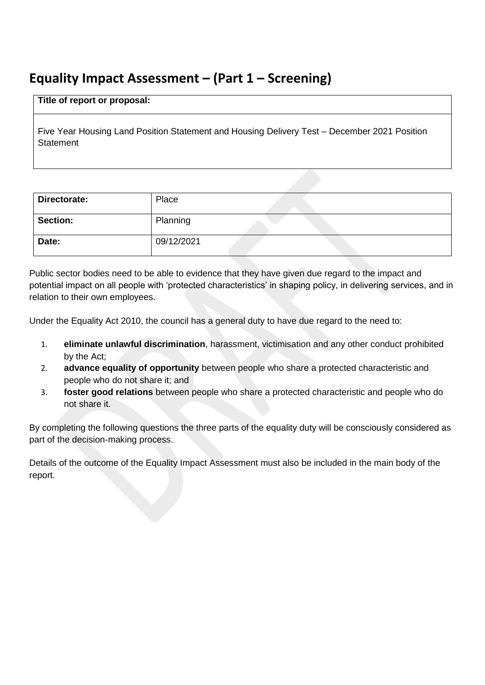# **Equality Impact Assessment – (Part 1 – Screening)**

#### **Title of report or proposal:**

Five Year Housing Land Position Statement and Housing Delivery Test – December 2021 Position **Statement** 

| Directorate:    | Place      |
|-----------------|------------|
| <b>Section:</b> | Planning   |
| Date:           | 09/12/2021 |

Public sector bodies need to be able to evidence that they have given due regard to the impact and potential impact on all people with 'protected characteristics' in shaping policy, in delivering services, and in relation to their own employees.

Under the Equality Act 2010, the council has a general duty to have due regard to the need to:

- 1. **eliminate unlawful discrimination**, harassment, victimisation and any other conduct prohibited by the Act;
- 2. **advance equality of opportunity** between people who share a protected characteristic and people who do not share it; and
- 3. **foster good relations** between people who share a protected characteristic and people who do not share it.

By completing the following questions the three parts of the equality duty will be consciously considered as part of the decision-making process.

Details of the outcome of the Equality Impact Assessment must also be included in the main body of the report.